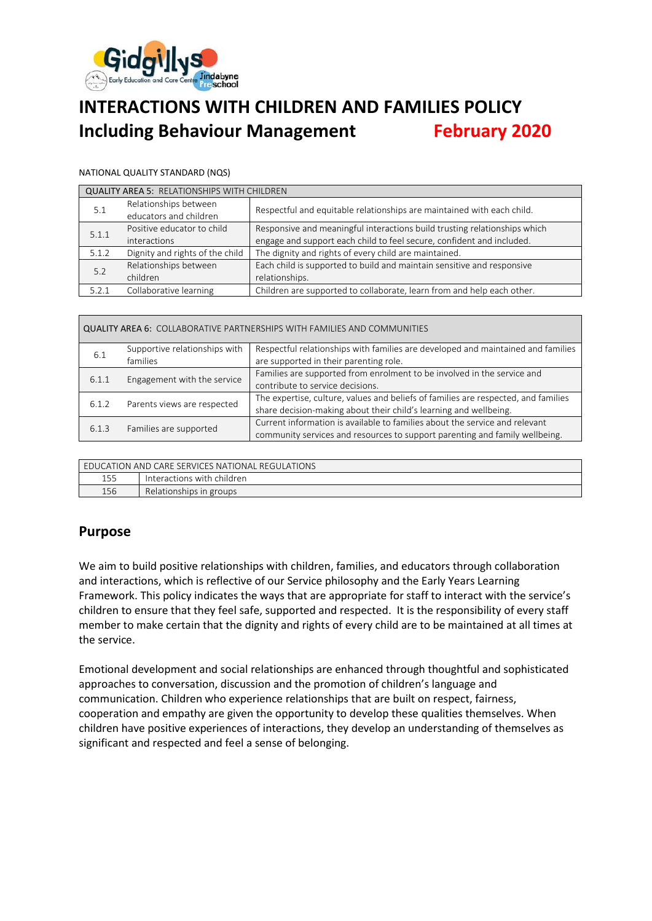

# **INTERACTIONS WITH CHILDREN AND FAMILIES POLICY Including Behaviour Management February 2020**

#### NATIONAL QUALITY STANDARD (NQS)

| <b>QUALITY AREA 5: RELATIONSHIPS WITH CHILDREN</b> |                                 |                                                                           |  |  |
|----------------------------------------------------|---------------------------------|---------------------------------------------------------------------------|--|--|
| 5.1                                                | Relationships between           | Respectful and equitable relationships are maintained with each child.    |  |  |
|                                                    | educators and children          |                                                                           |  |  |
| 5.1.1                                              | Positive educator to child      | Responsive and meaningful interactions build trusting relationships which |  |  |
|                                                    | interactions                    | engage and support each child to feel secure, confident and included.     |  |  |
| 5.1.2                                              | Dignity and rights of the child | The dignity and rights of every child are maintained.                     |  |  |
| 5.2                                                | Relationships between           | Each child is supported to build and maintain sensitive and responsive    |  |  |
|                                                    | children                        | relationships.                                                            |  |  |
| 5.2.1                                              | Collaborative learning          | Children are supported to collaborate, learn from and help each other.    |  |  |

#### QUALITY AREA 6: COLLABORATIVE PARTNERSHIPS WITH FAMILIES AND COMMUNITIES

| 6.1   | Supportive relationships with<br>families                                                                                                                                            | Respectful relationships with families are developed and maintained and families<br>are supported in their parenting role.                              |
|-------|--------------------------------------------------------------------------------------------------------------------------------------------------------------------------------------|---------------------------------------------------------------------------------------------------------------------------------------------------------|
| 6.1.1 | Families are supported from enrolment to be involved in the service and<br>Engagement with the service<br>contribute to service decisions.                                           |                                                                                                                                                         |
| 6.1.2 | Parents views are respected                                                                                                                                                          | The expertise, culture, values and beliefs of families are respected, and families<br>share decision-making about their child's learning and wellbeing. |
| 6.1.3 | Current information is available to families about the service and relevant<br>Families are supported<br>community services and resources to support parenting and family wellbeing. |                                                                                                                                                         |

| FDUCATION AND CARE SERVICES NATIONAL REGULATIONS |                            |  |  |
|--------------------------------------------------|----------------------------|--|--|
| 155                                              | Interactions with children |  |  |
| 156                                              | Relationships in groups    |  |  |

# **Purpose**

We aim to build positive relationships with children, families, and educators through collaboration and interactions, which is reflective of our Service philosophy and the Early Years Learning Framework. This policy indicates the ways that are appropriate for staff to interact with the service's children to ensure that they feel safe, supported and respected. It is the responsibility of every staff member to make certain that the dignity and rights of every child are to be maintained at all times at the service.

Emotional development and social relationships are enhanced through thoughtful and sophisticated approaches to conversation, discussion and the promotion of children's language and communication. Children who experience relationships that are built on respect, fairness, cooperation and empathy are given the opportunity to develop these qualities themselves. When children have positive experiences of interactions, they develop an understanding of themselves as significant and respected and feel a sense of belonging.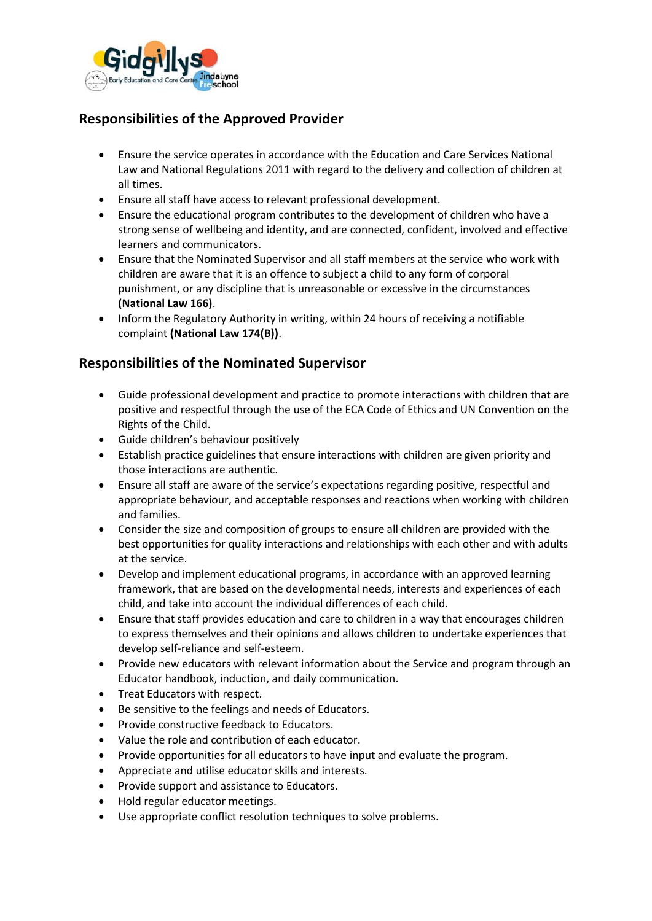

# **Responsibilities of the Approved Provider**

- Ensure the service operates in accordance with the Education and Care Services National Law and National Regulations 2011 with regard to the delivery and collection of children at all times.
- Ensure all staff have access to relevant professional development.
- Ensure the educational program contributes to the development of children who have a strong sense of wellbeing and identity, and are connected, confident, involved and effective learners and communicators.
- Ensure that the Nominated Supervisor and all staff members at the service who work with children are aware that it is an offence to subject a child to any form of corporal punishment, or any discipline that is unreasonable or excessive in the circumstances **(National Law 166)**.
- Inform the Regulatory Authority in writing, within 24 hours of receiving a notifiable complaint **(National Law 174(B))**.

# **Responsibilities of the Nominated Supervisor**

- Guide professional development and practice to promote interactions with children that are positive and respectful through the use of the ECA Code of Ethics and UN Convention on the Rights of the Child.
- Guide children's behaviour positively
- Establish practice guidelines that ensure interactions with children are given priority and those interactions are authentic.
- Ensure all staff are aware of the service's expectations regarding positive, respectful and appropriate behaviour, and acceptable responses and reactions when working with children and families.
- Consider the size and composition of groups to ensure all children are provided with the best opportunities for quality interactions and relationships with each other and with adults at the service.
- Develop and implement educational programs, in accordance with an approved learning framework, that are based on the developmental needs, interests and experiences of each child, and take into account the individual differences of each child.
- Ensure that staff provides education and care to children in a way that encourages children to express themselves and their opinions and allows children to undertake experiences that develop self-reliance and self-esteem.
- Provide new educators with relevant information about the Service and program through an Educator handbook, induction, and daily communication.
- Treat Educators with respect.
- Be sensitive to the feelings and needs of Educators.
- Provide constructive feedback to Educators.
- Value the role and contribution of each educator.
- Provide opportunities for all educators to have input and evaluate the program.
- Appreciate and utilise educator skills and interests.
- Provide support and assistance to Educators.
- Hold regular educator meetings.
- Use appropriate conflict resolution techniques to solve problems.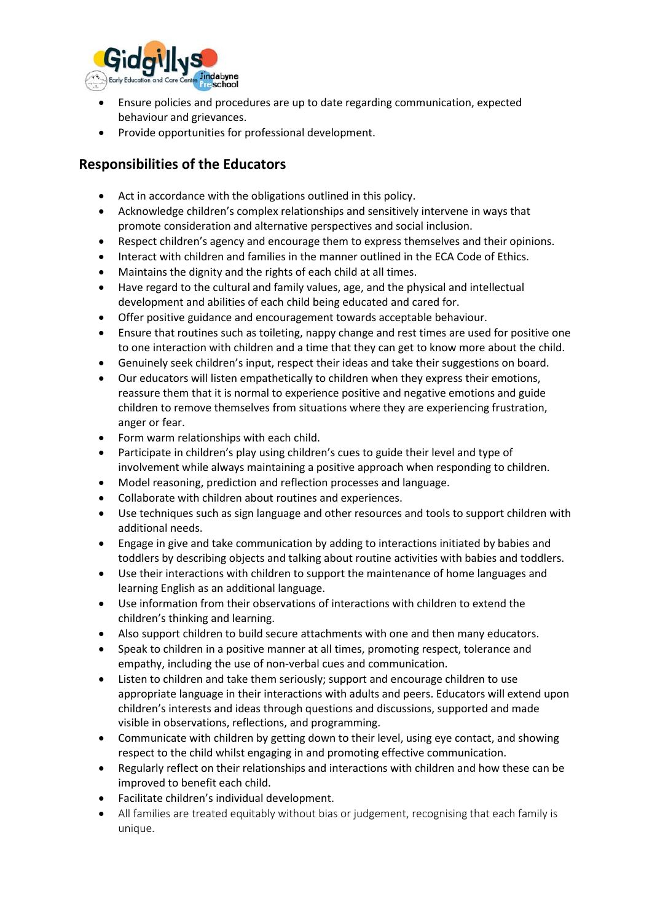

- Ensure policies and procedures are up to date regarding communication, expected behaviour and grievances.
- Provide opportunities for professional development.

# **Responsibilities of the Educators**

- Act in accordance with the obligations outlined in this policy.
- Acknowledge children's complex relationships and sensitively intervene in ways that promote consideration and alternative perspectives and social inclusion.
- Respect children's agency and encourage them to express themselves and their opinions.
- Interact with children and families in the manner outlined in the ECA Code of Ethics.
- Maintains the dignity and the rights of each child at all times.
- Have regard to the cultural and family values, age, and the physical and intellectual development and abilities of each child being educated and cared for.
- Offer positive guidance and encouragement towards acceptable behaviour.
- Ensure that routines such as toileting, nappy change and rest times are used for positive one to one interaction with children and a time that they can get to know more about the child.
- Genuinely seek children's input, respect their ideas and take their suggestions on board.
- Our educators will listen empathetically to children when they express their emotions, reassure them that it is normal to experience positive and negative emotions and guide children to remove themselves from situations where they are experiencing frustration, anger or fear.
- Form warm relationships with each child.
- Participate in children's play using children's cues to guide their level and type of involvement while always maintaining a positive approach when responding to children.
- Model reasoning, prediction and reflection processes and language.
- Collaborate with children about routines and experiences.
- Use techniques such as sign language and other resources and tools to support children with additional needs.
- Engage in give and take communication by adding to interactions initiated by babies and toddlers by describing objects and talking about routine activities with babies and toddlers.
- Use their interactions with children to support the maintenance of home languages and learning English as an additional language.
- Use information from their observations of interactions with children to extend the children's thinking and learning.
- Also support children to build secure attachments with one and then many educators.
- Speak to children in a positive manner at all times, promoting respect, tolerance and empathy, including the use of non-verbal cues and communication.
- Listen to children and take them seriously; support and encourage children to use appropriate language in their interactions with adults and peers. Educators will extend upon children's interests and ideas through questions and discussions, supported and made visible in observations, reflections, and programming.
- Communicate with children by getting down to their level, using eye contact, and showing respect to the child whilst engaging in and promoting effective communication.
- Regularly reflect on their relationships and interactions with children and how these can be improved to benefit each child.
- Facilitate children's individual development.
- All families are treated equitably without bias or judgement, recognising that each family is unique.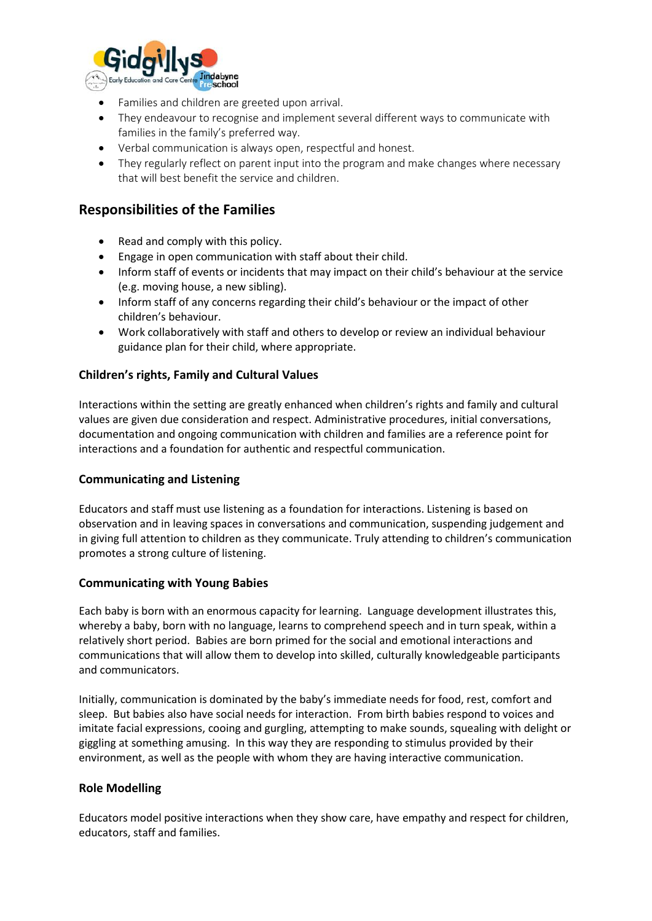

- Families and children are greeted upon arrival.
- They endeavour to recognise and implement several different ways to communicate with families in the family's preferred way.
- Verbal communication is always open, respectful and honest.
- They regularly reflect on parent input into the program and make changes where necessary that will best benefit the service and children.

### **Responsibilities of the Families**

- Read and comply with this policy.
- Engage in open communication with staff about their child.
- Inform staff of events or incidents that may impact on their child's behaviour at the service (e.g. moving house, a new sibling).
- Inform staff of any concerns regarding their child's behaviour or the impact of other children's behaviour.
- Work collaboratively with staff and others to develop or review an individual behaviour guidance plan for their child, where appropriate.

#### **Children's rights, Family and Cultural Values**

Interactions within the setting are greatly enhanced when children's rights and family and cultural values are given due consideration and respect. Administrative procedures, initial conversations, documentation and ongoing communication with children and families are a reference point for interactions and a foundation for authentic and respectful communication.

#### **Communicating and Listening**

Educators and staff must use listening as a foundation for interactions. Listening is based on observation and in leaving spaces in conversations and communication, suspending judgement and in giving full attention to children as they communicate. Truly attending to children's communication promotes a strong culture of listening.

#### **Communicating with Young Babies**

Each baby is born with an enormous capacity for learning. Language development illustrates this, whereby a baby, born with no language, learns to comprehend speech and in turn speak, within a relatively short period. Babies are born primed for the social and emotional interactions and communications that will allow them to develop into skilled, culturally knowledgeable participants and communicators.

Initially, communication is dominated by the baby's immediate needs for food, rest, comfort and sleep. But babies also have social needs for interaction. From birth babies respond to voices and imitate facial expressions, cooing and gurgling, attempting to make sounds, squealing with delight or giggling at something amusing. In this way they are responding to stimulus provided by their environment, as well as the people with whom they are having interactive communication.

#### **Role Modelling**

Educators model positive interactions when they show care, have empathy and respect for children, educators, staff and families.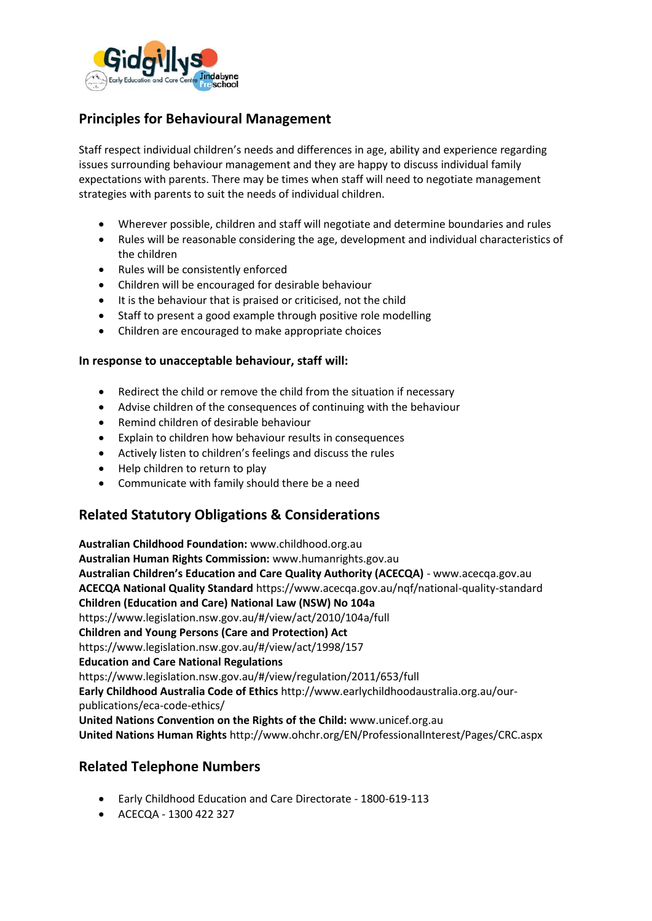

# **Principles for Behavioural Management**

Staff respect individual children's needs and differences in age, ability and experience regarding issues surrounding behaviour management and they are happy to discuss individual family expectations with parents. There may be times when staff will need to negotiate management strategies with parents to suit the needs of individual children.

- Wherever possible, children and staff will negotiate and determine boundaries and rules
- Rules will be reasonable considering the age, development and individual characteristics of the children
- Rules will be consistently enforced
- Children will be encouraged for desirable behaviour
- It is the behaviour that is praised or criticised, not the child
- Staff to present a good example through positive role modelling
- Children are encouraged to make appropriate choices

#### **In response to unacceptable behaviour, staff will:**

- Redirect the child or remove the child from the situation if necessary
- Advise children of the consequences of continuing with the behaviour
- Remind children of desirable behaviour
- Explain to children how behaviour results in consequences
- Actively listen to children's feelings and discuss the rules
- Help children to return to play
- Communicate with family should there be a need

### **Related Statutory Obligations & Considerations**

**Australian Childhood Foundation:** www.childhood.org.au **Australian Human Rights Commission:** [www.humanrights.gov.au](http://www.humanrights.gov.au/) **Australian Children's Education and Care Quality Authority (ACECQA)** - www.acecqa.gov.au **ACECQA National Quality Standard** https://www.acecqa.gov.au/nqf/national-quality-standard **Children (Education and Care) National Law (NSW) No 104a**  https://www.legislation.nsw.gov.au/#/view/act/2010/104a/full **Children and Young Persons (Care and Protection) Act**  https://www.legislation.nsw.gov.au/#/view/act/1998/157 **Education and Care National Regulations** https://www.legislation.nsw.gov.au/#/view/regulation/2011/653/full **Early Childhood Australia Code of Ethics** http://www.earlychildhoodaustralia.org.au/ourpublications/eca-code-ethics/ **United Nations Convention on the Rights of the Child:** www.unicef.org.au **United Nations Human Rights** http://www.ohchr.org/EN/ProfessionalInterest/Pages/CRC.aspx

### **Related Telephone Numbers**

- Early Childhood Education and Care Directorate 1800-619-113
- ACECQA 1300 422 327